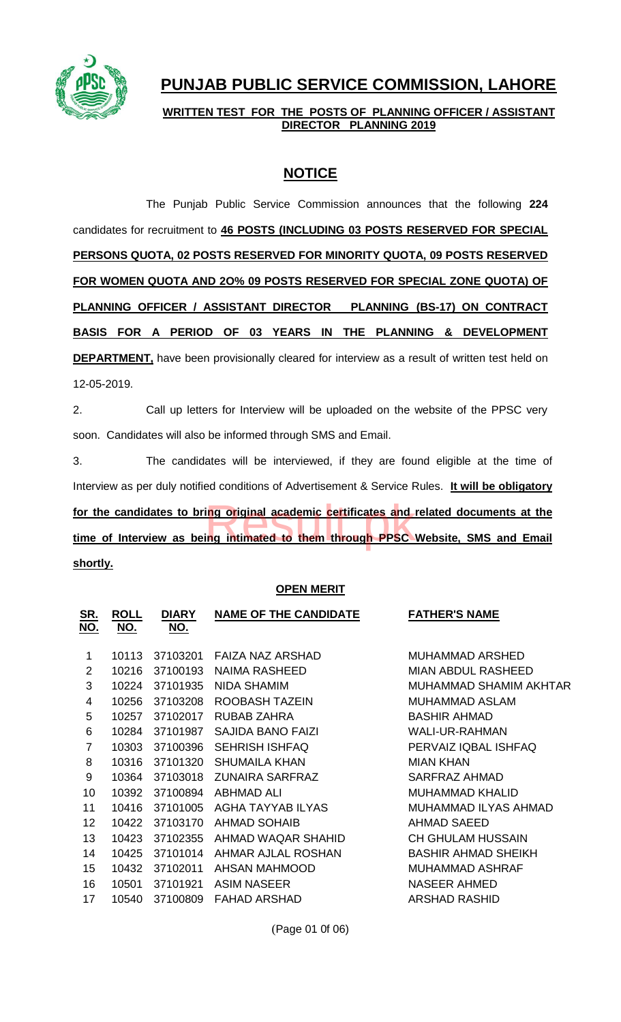

# **PUNJAB PUBLIC SERVICE COMMISSION, LAHORE**

**WRITTEN TEST FOR THE POSTS OF PLANNING OFFICER / ASSISTANT DIRECTOR PLANNING 2019**

## **NOTICE**

The Punjab Public Service Commission announces that the following **224**  candidates for recruitment to **46 POSTS (INCLUDING 03 POSTS RESERVED FOR SPECIAL PERSONS QUOTA, 02 POSTS RESERVED FOR MINORITY QUOTA, 09 POSTS RESERVED FOR WOMEN QUOTA AND 2O% 09 POSTS RESERVED FOR SPECIAL ZONE QUOTA) OF PLANNING OFFICER / ASSISTANT DIRECTOR PLANNING (BS-17) ON CONTRACT BASIS FOR A PERIOD OF 03 YEARS IN THE PLANNING & DEVELOPMENT DEPARTMENT**, have been provisionally cleared for interview as a result of written test held on

12-05-2019.

2. Call up letters for Interview will be uploaded on the website of the PPSC very soon. Candidates will also be informed through SMS and Email.

3. The candidates will be interviewed, if they are found eligible at the time of Interview as per duly notified conditions of Advertisement & Service Rules. **It will be obligatory**  for the candidates to bring original academic certificates and related documents at the<br>time of Interview as being intimated to them through PPSC Website, SMS and Email **time of Interview as being intimated to them through PPSC Website, SMS and Email shortly.**

### **OPEN MERIT**

| <u>SR.</u><br><u>NO.</u> | <b>ROLL</b><br>NO. | <b>DIARY</b><br>NO. | <b>NAME OF THE CANDIDATE</b> | <b>FATHER'S NAME</b>       |
|--------------------------|--------------------|---------------------|------------------------------|----------------------------|
| 1                        | 10113              | 37103201            | FAIZA NAZ ARSHAD             | MUHAMMAD ARSHED            |
| 2                        | 10216              | 37100193            | NAIMA RASHEED                | <b>MIAN ABDUL RASHEED</b>  |
| 3                        | 10224              | 37101935            | NIDA SHAMIM                  | MUHAMMAD SHAMIM AKHTAR     |
| 4                        | 10256              | 37103208            | ROOBASH TAZEIN               | MUHAMMAD ASLAM             |
| 5                        | 10257              | 37102017            | RUBAB ZAHRA                  | <b>BASHIR AHMAD</b>        |
| 6                        | 10284              | 37101987            | SAJIDA BANO FAIZI            | <b>WALI-UR-RAHMAN</b>      |
| $\overline{7}$           | 10303              | 37100396            | <b>SEHRISH ISHFAQ</b>        | PERVAIZ IQBAL ISHFAQ       |
| 8                        | 10316              | 37101320            | SHUMAILA KHAN                | <b>MIAN KHAN</b>           |
| 9                        | 10364              | 37103018            | <b>ZUNAIRA SARFRAZ</b>       | SARFRAZ AHMAD              |
| 10                       | 10392              | 37100894            | ABHMAD ALI                   | MUHAMMAD KHALID            |
| 11                       | 10416              | 37101005            | AGHA TAYYAB ILYAS            | MUHAMMAD ILYAS AHMAD       |
| 12                       | 10422              | 37103170            | <b>AHMAD SOHAIB</b>          | AHMAD SAEED                |
| 13                       | 10423              | 37102355            | AHMAD WAQAR SHAHID           | CH GHULAM HUSSAIN          |
| 14                       | 10425              | 37101014            | AHMAR AJLAL ROSHAN           | <b>BASHIR AHMAD SHEIKH</b> |
| 15                       | 10432              | 37102011            | AHSAN MAHMOOD                | MUHAMMAD ASHRAF            |
| 16                       | 10501              | 37101921            | ASIM NASEER                  | NASEER AHMED               |
| 17                       | 10540              | 37100809            | FAHAD ARSHAD                 | ARSHAD RASHID              |
|                          |                    |                     |                              |                            |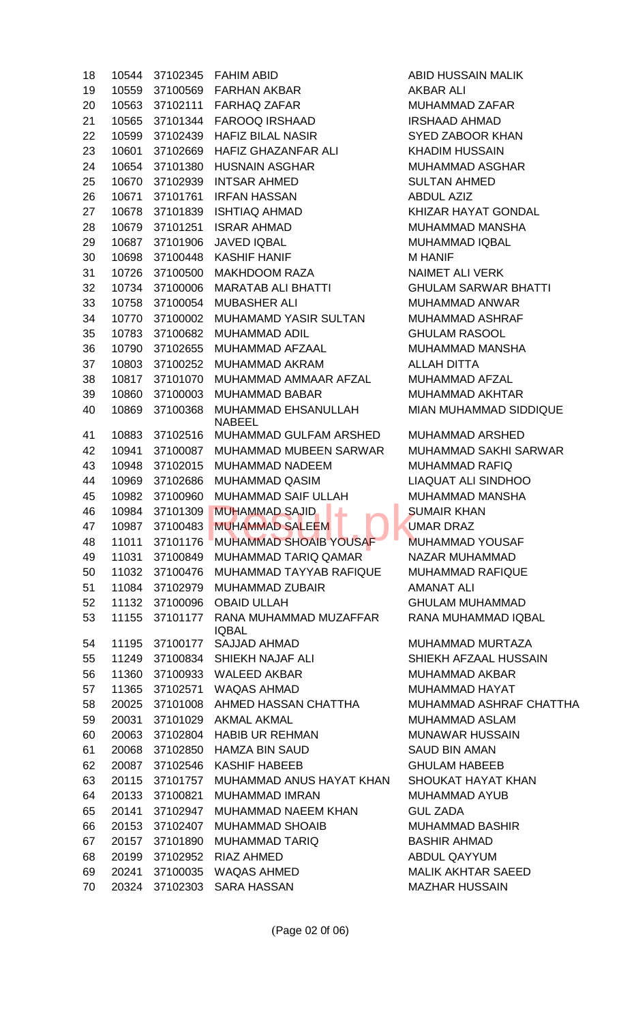| 18 | 10544 | 37102345 | <b>FAHIM ABID</b>             | Α            |
|----|-------|----------|-------------------------------|--------------|
| 19 | 10559 | 37100569 | <b>FARHAN AKBAR</b>           | A            |
| 20 | 10563 | 37102111 | <b>FARHAQ ZAFAR</b>           | M            |
| 21 | 10565 | 37101344 | <b>FAROOQ IRSHAAD</b>         | IF           |
| 22 | 10599 | 37102439 | <b>HAFIZ BILAL NASIR</b>      | S            |
| 23 | 10601 | 37102669 | <b>HAFIZ GHAZANFAR ALI</b>    | Κ            |
| 24 | 10654 | 37101380 | <b>HUSNAIN ASGHAR</b>         | M            |
| 25 | 10670 | 37102939 | <b>INTSAR AHMED</b>           | S            |
| 26 | 10671 | 37101761 | <b>IRFAN HASSAN</b>           | Α            |
| 27 | 10678 | 37101839 | <b>ISHTIAQ AHMAD</b>          | K            |
| 28 | 10679 | 37101251 | <b>ISRAR AHMAD</b>            | M            |
| 29 | 10687 | 37101906 | <b>JAVED IQBAL</b>            | M            |
| 30 | 10698 | 37100448 | <b>KASHIF HANIF</b>           | M            |
| 31 | 10726 | 37100500 | <b>MAKHDOOM RAZA</b>          | N            |
| 32 | 10734 | 37100006 | <b>MARATAB ALI BHATTI</b>     | G            |
| 33 | 10758 | 37100054 | <b>MUBASHER ALI</b>           | M            |
| 34 | 10770 | 37100002 | <b>MUHAMAMD YASIR SULTAN</b>  | M            |
| 35 | 10783 | 37100682 | <b>MUHAMMAD ADIL</b>          | G            |
| 36 | 10790 | 37102655 | <b>MUHAMMAD AFZAAL</b>        | M            |
| 37 | 10803 | 37100252 | <b>MUHAMMAD AKRAM</b>         | Α            |
| 38 | 10817 | 37101070 | MUHAMMAD AMMAAR AFZAL         | M            |
| 39 | 10860 | 37100003 | <b>MUHAMMAD BABAR</b>         | M            |
| 40 | 10869 | 37100368 | <b>MUHAMMAD EHSANULLAH</b>    | M            |
|    |       |          | <b>NABEEL</b>                 |              |
| 41 | 10883 | 37102516 | MUHAMMAD GULFAM ARSHED        | M            |
| 42 | 10941 | 37100087 | MUHAMMAD MUBEEN SARWAR        | M            |
| 43 | 10948 | 37102015 | <b>MUHAMMAD NADEEM</b>        | M            |
| 44 | 10969 | 37102686 | <b>MUHAMMAD QASIM</b>         | $\mathsf{L}$ |
| 45 | 10982 | 37100960 | <b>MUHAMMAD SAIF ULLAH</b>    | M            |
| 46 | 10984 | 37101309 | <b>MUHAMMAD SAJID</b><br>┻    | S            |
| 47 | 10987 | 37100483 | <b>MUHAMMAD SALEEM</b>        | U            |
| 48 | 11011 | 37101176 | <b>MUHAMMAD SHOAIB YOUSAF</b> | M            |
| 49 | 11031 | 37100849 | MUHAMMAD TARIQ QAMAR          | N            |
| 50 | 11032 | 37100476 | MUHAMMAD TAYYAB RAFIQUE       | M            |
| 51 | 11084 | 37102979 | <b>MUHAMMAD ZUBAIR</b>        | Α            |
| 52 | 11132 | 37100096 | <b>OBAID ULLAH</b>            | G            |
| 53 | 11155 | 37101177 | RANA MUHAMMAD MUZAFFAR        | R            |
|    |       |          | <b>IQBAL</b>                  |              |
| 54 | 11195 | 37100177 | <b>SAJJAD AHMAD</b>           | M            |
| 55 | 11249 | 37100834 | SHIEKH NAJAF ALI              | S            |
| 56 | 11360 | 37100933 | <b>WALEED AKBAR</b>           | M            |
| 57 | 11365 | 37102571 | <b>WAQAS AHMAD</b>            | M            |
| 58 | 20025 | 37101008 | AHMED HASSAN CHATTHA          | M            |
| 59 | 20031 | 37101029 | <b>AKMAL AKMAL</b>            | M            |
| 60 | 20063 | 37102804 | <b>HABIB UR REHMAN</b>        | M            |
| 61 | 20068 | 37102850 | <b>HAMZA BIN SAUD</b>         | S            |
| 62 | 20087 | 37102546 | <b>KASHIF HABEEB</b>          | G            |
| 63 | 20115 | 37101757 | MUHAMMAD ANUS HAYAT KHAN      | S            |
| 64 | 20133 | 37100821 | <b>MUHAMMAD IMRAN</b>         | M            |
| 65 | 20141 | 37102947 | MUHAMMAD NAEEM KHAN           | G            |
| 66 | 20153 | 37102407 | <b>MUHAMMAD SHOAIB</b>        | M            |
| 67 | 20157 | 37101890 | <b>MUHAMMAD TARIQ</b>         | B            |
| 68 | 20199 | 37102952 | <b>RIAZ AHMED</b>             | A            |
| 69 | 20241 | 37100035 | <b>WAQAS AHMED</b>            | M            |
| 70 | 20324 | 37102303 | <b>SARA HASSAN</b>            | M            |

**ABID HUSSAIN MALIK** AKBAR ALI MUHAMMAD ZAFAR **IRSHAAD AHMAD** SYED ZABOOR KHAN KHADIM HUSSAIN MUHAMMAD ASGHAR **SULTAN AHMED** ABDUL AZIZ KHIZAR HAYAT GONDAL MUHAMMAD MANSHA MUHAMMAD IQBAL **M HANIF** NAIMET ALI VERK GHULAM SARWAR BHATTI MUHAMMAD ANWAR MUHAMMAD ASHRAF **GHULAM RASOOL** MUHAMMAD MANSHA ALLAH DITTA MUHAMMAD AFZAL MUHAMMAD AKHTAR MIAN MUHAMMAD SIDDIQUE

MUHAMMAD ARSHED MUHAMMAD SAKHI SARWAR MUHAMMAD RAFIQ LIAQUAT ALI SINDHOO MUHAMMAD MANSHA **SUMAIR KHAN UMAR DRAZ** MUHAMMAD YOUSAF NAZAR MUHAMMAD MUHAMMAD RAFIQUE AMANAT ALI **GHULAM MUHAMMAD** RANA MUHAMMAD IQBAL

MUHAMMAD MURTAZA SHIEKH AFZAAL HUSSAIN MUHAMMAD AKBAR MUHAMMAD HAYAT MUHAMMAD ASHRAF CHATTHA MUHAMMAD ASLAM MUNAWAR HUSSAIN SAUD BIN AMAN **GHULAM HABEEB** SHOUKAT HAYAT KHAN MUHAMMAD AYUB **GUL ZADA** MUHAMMAD BASHIR BASHIR AHMAD ABDUL QAYYUM **MALIK AKHTAR SAEED** MAZHAR HUSSAIN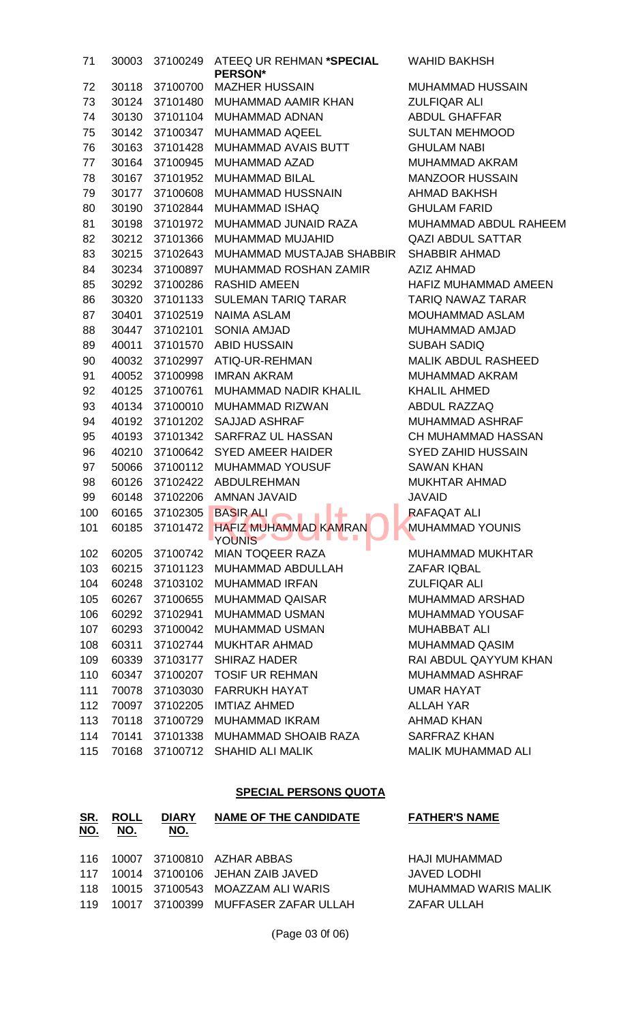| 71  | 30003 | 37100249 | ATEEQ UR REHMAN *SPECIAL<br><b>PERSON*</b>     | <b>WAHID</b>      |
|-----|-------|----------|------------------------------------------------|-------------------|
| 72  | 30118 | 37100700 | <b>MAZHER HUSSAIN</b>                          | <b>MUHAN</b>      |
| 73  | 30124 | 37101480 | MUHAMMAD AAMIR KHAN                            | <b>ZULFIQ</b>     |
| 74  | 30130 | 37101104 | MUHAMMAD ADNAN                                 | <b>ABDUL</b>      |
| 75  | 30142 | 37100347 | MUHAMMAD AQEEL                                 | <b>SULTAI</b>     |
| 76  | 30163 | 37101428 | MUHAMMAD AVAIS BUTT                            | <b>GHULA</b>      |
| 77  | 30164 | 37100945 | <b>MUHAMMAD AZAD</b>                           | <b>MUHAN</b>      |
| 78  | 30167 | 37101952 | <b>MUHAMMAD BILAL</b>                          | <b>MANZO</b>      |
| 79  | 30177 | 37100608 | MUHAMMAD HUSSNAIN                              | <b>AHMAD</b>      |
| 80  | 30190 | 37102844 | <b>MUHAMMAD ISHAQ</b>                          | <b>GHULA</b>      |
| 81  | 30198 | 37101972 | MUHAMMAD JUNAID RAZA                           | <b>MUHAN</b>      |
| 82  | 30212 | 37101366 | MUHAMMAD MUJAHID                               | <b>QAZI AI</b>    |
| 83  | 30215 | 37102643 | MUHAMMAD MUSTAJAB SHABBIR                      | <b>SHABB</b>      |
| 84  | 30234 | 37100897 | MUHAMMAD ROSHAN ZAMIR                          | AZIZ AF           |
| 85  | 30292 | 37100286 | <b>RASHID AMEEN</b>                            | <b>HAFIZ N</b>    |
| 86  | 30320 | 37101133 | <b>SULEMAN TARIQ TARAR</b>                     | <b>TARIQ</b>      |
| 87  | 30401 | 37102519 | <b>NAIMA ASLAM</b>                             | <b>MOUHA</b>      |
| 88  | 30447 | 37102101 | <b>SONIA AMJAD</b>                             | <b>MUHAN</b>      |
| 89  | 40011 | 37101570 | <b>ABID HUSSAIN</b>                            | <b>SUBAH</b>      |
| 90  | 40032 | 37102997 | ATIQ-UR-REHMAN                                 | <b>MALIK</b>      |
| 91  | 40052 | 37100998 | <b>IMRAN AKRAM</b>                             | <b>MUHAN</b>      |
| 92  | 40125 | 37100761 | MUHAMMAD NADIR KHALIL                          | <b>KHALIL</b>     |
| 93  | 40134 | 37100010 | MUHAMMAD RIZWAN                                | <b>ABDUL</b>      |
| 94  | 40192 | 37101202 | <b>SAJJAD ASHRAF</b>                           | <b>MUHAN</b>      |
| 95  | 40193 | 37101342 | SARFRAZ UL HASSAN                              | <b>CH MUI</b>     |
| 96  | 40210 | 37100642 | <b>SYED AMEER HAIDER</b>                       | SYED <sub>Z</sub> |
| 97  | 50066 | 37100112 | MUHAMMAD YOUSUF                                | <b>SAWAN</b>      |
| 98  | 60126 | 37102422 | <b>ABDULREHMAN</b>                             | <b>MUKHT</b>      |
| 99  | 60148 | 37102206 | <b>AMNAN JAVAID</b><br><b>The Common State</b> | <b>JAVAID</b>     |
| 100 | 60165 | 37102305 | <b>BASIR ALI</b>                               | <b>RAFAQ</b>      |
| 101 | 60185 | 37101472 | <b>HAFIZ MUHAMMAD KAMRAN</b><br><b>YOUNIS</b>  | <b>MUHAN</b>      |
| 102 | 60205 | 37100742 | <b>MIAN TOQEER RAZA</b>                        | <b>MUHAN</b>      |
| 103 | 60215 |          | 37101123 MUHAMMAD ABDULLAH                     | ZAFAR             |
| 104 | 60248 | 37103102 | <b>MUHAMMAD IRFAN</b>                          | <b>ZULFIQ</b>     |
| 105 | 60267 | 37100655 | <b>MUHAMMAD QAISAR</b>                         | <b>MUHAN</b>      |
| 106 | 60292 | 37102941 | <b>MUHAMMAD USMAN</b>                          | <b>MUHAN</b>      |
| 107 | 60293 |          | 37100042 MUHAMMAD USMAN                        | <b>MUHAB</b>      |
| 108 | 60311 | 37102744 | <b>MUKHTAR AHMAD</b>                           | <b>MUHAN</b>      |
| 109 | 60339 | 37103177 | <b>SHIRAZ HADER</b>                            | <b>RAI ABI</b>    |
| 110 | 60347 | 37100207 | <b>TOSIF UR REHMAN</b>                         | <b>MUHAN</b>      |
| 111 | 70078 | 37103030 | <b>FARRUKH HAYAT</b>                           | <b>UMAR I</b>     |
| 112 | 70097 | 37102205 | <b>IMTIAZ AHMED</b>                            | <b>ALLAH</b>      |
| 113 | 70118 | 37100729 | MUHAMMAD IKRAM                                 | <b>AHMAD</b>      |
| 114 | 70141 |          | 37101338 MUHAMMAD SHOAIB RAZA                  | <b>SARFR</b>      |
| 115 | 70168 |          | 37100712 SHAHID ALI MALIK                      | <b>MALIKI</b>     |

WAHID BAKHSH

MUHAMMAD HUSSAIN ZULFIQAR ALI ABDUL GHAFFAR SULTAN MEHMOOD **GHULAM NABI** MUHAMMAD AKRAM MANZOOR HUSSAIN AHMAD BAKHSH **GHULAM FARID** MUHAMMAD ABDUL RAHEEM QAZI ABDUL SATTAR SHABBIR AHMAD AZIZ AHMAD HAFIZ MUHAMMAD AMEEN TARIQ NAWAZ TARAR MOUHAMMAD ASLAM MUHAMMAD AMJAD SUBAH SADIQ MALIK ABDUL RASHEED MUHAMMAD AKRAM KHALIL AHMED ABDUL RAZZAQ MUHAMMAD ASHRAF CH MUHAMMAD HASSAN SYED ZAHID HUSSAIN **SAWAN KHAN** MUKHTAR AHMAD RAFAQAT ALI MUHAMMAD YOUNIS

MUHAMMAD MUKHTAR ZAFAR IQBAL **ZULFIQAR ALI** MUHAMMAD ARSHAD MUHAMMAD YOUSAF MUHABBAT ALI MUHAMMAD QASIM RAI ABDUL QAYYUM KHAN MUHAMMAD ASHRAF UMAR HAYAT ALLAH YAR AHMAD KHAN SARFRAZ KHAN MALIK MUHAMMAD ALI

#### **SPECIAL PERSONS QUOTA**

| <u>SR.</u><br><u>NO.</u> | <u>ROLL</u><br><u>NO.</u> | <b>DIARY</b><br><u>NO.</u> | <b>NAME OF THE CANDIDATE</b>            | <b>FATHER'S NAME</b>        |
|--------------------------|---------------------------|----------------------------|-----------------------------------------|-----------------------------|
|                          |                           |                            |                                         |                             |
|                          |                           |                            | 116 10007 37100810 AZHAR ABBAS          | HAJI MUHAMMAD               |
|                          |                           |                            | 117  10014  37100106  JEHAN ZAIB JAVED  | JAVED LODHI                 |
|                          |                           |                            | 118 10015 37100543 MOAZZAM ALI WARIS    | <b>MUHAMMAD WARIS MALIK</b> |
|                          |                           |                            | 119 10017 37100399 MUFFASER ZAFAR ULLAH | ZAFAR ULLAH                 |

(Page 03 0f 06)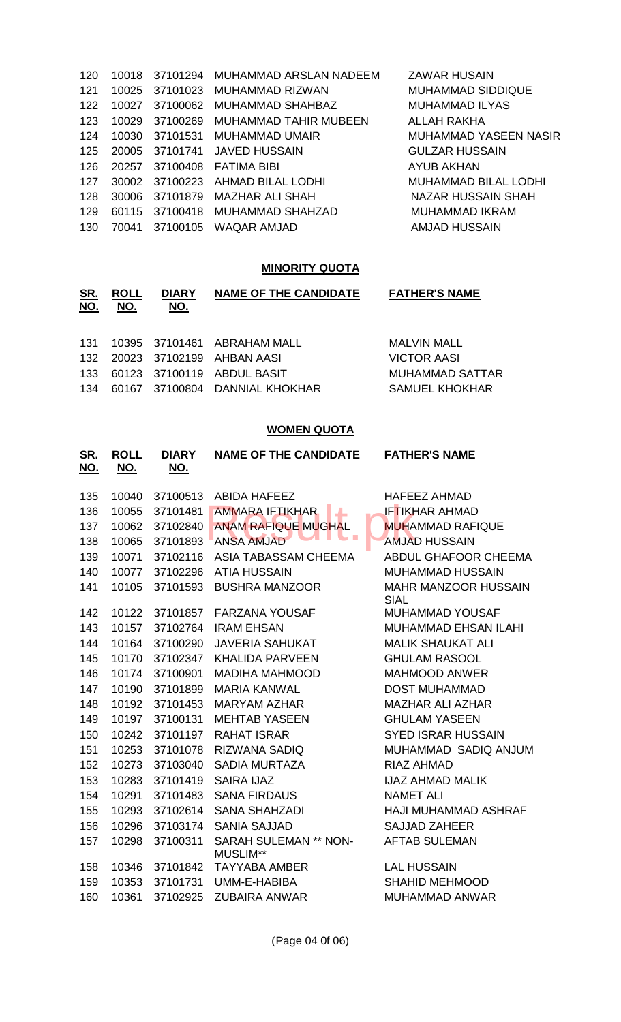| 120 | 10018 | 37101294 | MUHAMMAD ARSLAN NADEEM  | <b>ZAWAR HUSAIN</b>         |
|-----|-------|----------|-------------------------|-----------------------------|
| 121 | 10025 | 37101023 | MUHAMMAD RIZWAN         | <b>MUHAMMAD SIDDIQUE</b>    |
| 122 | 10027 | 37100062 | <b>MUHAMMAD SHAHBAZ</b> | <b>MUHAMMAD ILYAS</b>       |
| 123 | 10029 | 37100269 | MUHAMMAD TAHIR MUBEEN   | ALLAH RAKHA                 |
| 124 | 10030 | 37101531 | MUHAMMAD UMAIR          | MUHAMMAD YASEEN NASIR       |
| 125 | 20005 | 37101741 | <b>JAVED HUSSAIN</b>    | <b>GULZAR HUSSAIN</b>       |
| 126 | 20257 | 37100408 | FATIMA BIBI             | AYUB AKHAN                  |
| 127 | 30002 | 37100223 | AHMAD BILAL LODHI       | <b>MUHAMMAD BILAL LODHI</b> |
| 128 | 30006 | 37101879 | MAZHAR ALI SHAH         | <b>NAZAR HUSSAIN SHAH</b>   |
| 129 | 60115 | 37100418 | MUHAMMAD SHAHZAD        | MUHAMMAD IKRAM              |
| 130 | 70041 | 37100105 | WAQAR AMJAD             | AMJAD HUSSAIN               |
|     |       |          |                         |                             |

# **MINORITY QUOTA**

| <u>SR.</u><br><u>NO.</u> | <b>ROLL</b><br>NO. | <b>DIARY</b><br><u>NO.</u> | <b>NAME OF THE CANDIDATE</b>   | <b>FATHER'S NAME</b>  |
|--------------------------|--------------------|----------------------------|--------------------------------|-----------------------|
| 131                      |                    |                            | 10395 37101461 ABRAHAM MALL    | MALVIN MALL           |
|                          |                    |                            | 132 20023 37102199 AHBAN AASI  | <b>VICTOR AASI</b>    |
| 133                      |                    |                            | 60123 37100119 ABDUL BASIT     | MUHAMMAD SATTAR       |
| 134                      |                    |                            | 60167 37100804 DANNIAL KHOKHAR | <b>SAMUEL KHOKHAR</b> |

## **WOMEN QUOTA**

| <u>SR.</u><br><u>NO.</u> | <u>ROLL</u><br><u>NO.</u> | <b>DIARY</b><br><u>NO.</u> | <b>NAME OF THE CANDIDATE</b>                   | <b>FATHER'S NAME</b>                       |
|--------------------------|---------------------------|----------------------------|------------------------------------------------|--------------------------------------------|
| 135                      | 10040                     | 37100513                   | <b>ABIDA HAFEEZ</b>                            | <b>HAFEEZ AHMAD</b>                        |
| 136                      | 10055                     | 37101481                   | <b>AMMARA IFTIKHAR</b>                         | <b>IFTIKHAR AHMAD</b>                      |
| 137                      | 10062                     | 37102840                   | <b>ANAM RAFIQUE MUGHAL</b>                     | <b>MUHAMMAD RAFIQUE</b>                    |
| 138                      | 10065                     | 37101893                   | a T<br><b>ANSA AMJAD</b>                       | <b>AMJAD HUSSAIN</b>                       |
| 139                      | 10071                     | 37102116                   | ASIA TABASSAM CHEEMA                           | ABDUL GHAFOOR CHEEMA                       |
| 140                      | 10077                     | 37102296                   | <b>ATIA HUSSAIN</b>                            | <b>MUHAMMAD HUSSAIN</b>                    |
| 141                      | 10105                     | 37101593                   | <b>BUSHRA MANZOOR</b>                          | <b>MAHR MANZOOR HUSSAIN</b><br><b>SIAL</b> |
| 142                      | 10122                     | 37101857                   | <b>FARZANA YOUSAF</b>                          | <b>MUHAMMAD YOUSAF</b>                     |
| 143                      | 10157                     | 37102764                   | <b>IRAM EHSAN</b>                              | <b>MUHAMMAD EHSAN ILAHI</b>                |
| 144                      | 10164                     | 37100290                   | <b>JAVERIA SAHUKAT</b>                         | <b>MALIK SHAUKAT ALI</b>                   |
| 145                      | 10170                     | 37102347                   | <b>KHALIDA PARVEEN</b>                         | <b>GHULAM RASOOL</b>                       |
| 146                      | 10174                     | 37100901                   | <b>MADIHA MAHMOOD</b>                          | <b>MAHMOOD ANWER</b>                       |
| 147                      | 10190                     | 37101899                   | <b>MARIA KANWAL</b>                            | <b>DOST MUHAMMAD</b>                       |
| 148                      | 10192                     | 37101453                   | <b>MARYAM AZHAR</b><br><b>MAZHAR ALI AZHAR</b> |                                            |
| 149                      | 10197                     | 37100131                   | <b>MEHTAB YASEEN</b>                           | <b>GHULAM YASEEN</b>                       |
| 150                      | 10242                     | 37101197                   | <b>RAHAT ISRAR</b>                             | <b>SYED ISRAR HUSSAIN</b>                  |
| 151                      | 10253                     | 37101078                   | <b>RIZWANA SADIQ</b>                           | MUHAMMAD SADIQ ANJUM                       |
| 152                      | 10273                     | 37103040                   | <b>SADIA MURTAZA</b>                           | <b>RIAZ AHMAD</b>                          |
| 153                      | 10283                     | 37101419                   | <b>SAIRA IJAZ</b>                              | <b>IJAZ AHMAD MALIK</b>                    |
| 154                      | 10291                     | 37101483                   | <b>SANA FIRDAUS</b>                            | <b>NAMET ALI</b>                           |
| 155                      | 10293                     | 37102614                   | <b>SANA SHAHZADI</b>                           | <b>HAJI MUHAMMAD ASHRAF</b>                |
| 156                      | 10296                     | 37103174                   | <b>SANIA SAJJAD</b><br><b>SAJJAD ZAHEER</b>    |                                            |
| 157                      | 10298                     | 37100311                   | SARAH SULEMAN ** NON-<br>MUSLIM**              | <b>AFTAB SULEMAN</b>                       |
| 158                      | 10346                     | 37101842                   | <b>TAYYABA AMBER</b>                           | <b>LAL HUSSAIN</b>                         |
| 159                      | 10353                     | 37101731                   | UMM-E-HABIBA                                   | <b>SHAHID MEHMOOD</b>                      |
| 160                      | 10361                     | 37102925                   | <b>ZUBAIRA ANWAR</b>                           | <b>MUHAMMAD ANWAR</b>                      |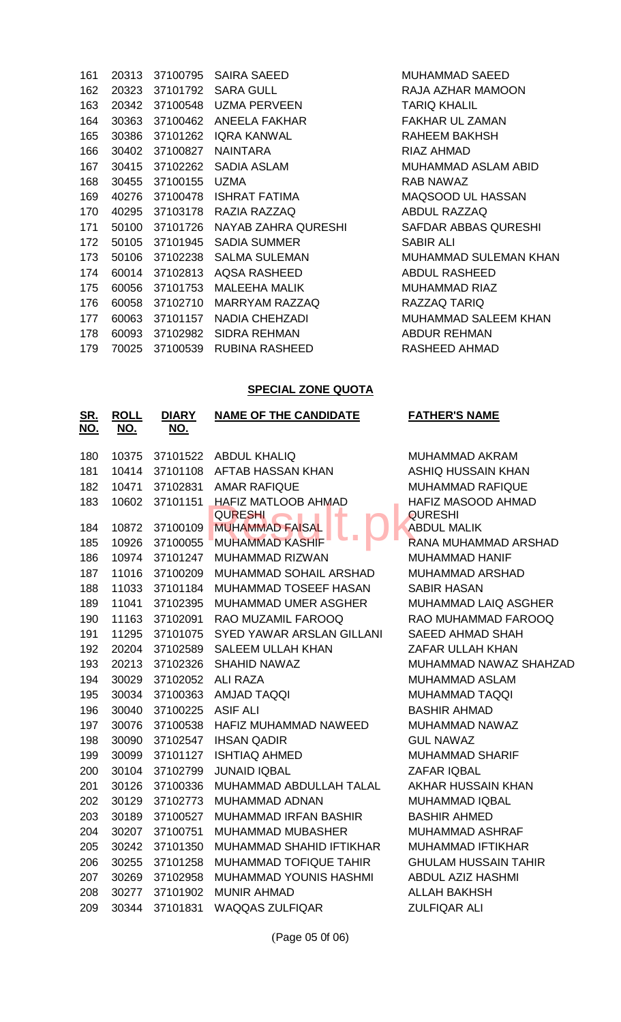| 161 | 20313 | 37100795       | <b>SAIRA SAEED</b>         |
|-----|-------|----------------|----------------------------|
| 162 |       |                | 20323 37101792 SARA GULL   |
| 163 |       | 20342 37100548 | UZMA PERVEEN               |
| 164 | 30363 | 37100462       | <b>ANEELA FAKHAR</b>       |
| 165 | 30386 | 37101262       | <b>IQRA KANWAL</b>         |
| 166 | 30402 | 37100827       | <b>NAINTARA</b>            |
| 167 |       | 30415 37102262 | <b>SADIA ASLAM</b>         |
| 168 | 30455 | 37100155       | <b>UZMA</b>                |
| 169 | 40276 |                | 37100478 ISHRAT FATIMA     |
| 170 | 40295 |                | 37103178 RAZIA RAZZAQ      |
| 171 | 50100 | 37101726       | <b>NAYAB ZAHRA QURESHI</b> |
| 172 |       | 50105 37101945 | SADIA SUMMER               |
| 173 |       | 50106 37102238 | <b>SALMA SULEMAN</b>       |
| 174 | 60014 | 37102813       | <b>AQSA RASHEED</b>        |
| 175 | 60056 | 37101753       | <b>MALEEHA MALIK</b>       |
| 176 | 60058 | 37102710       | MARRYAM RAZZAQ             |
| 177 | 60063 | 37101157       | <b>NADIA CHEHZADI</b>      |
| 178 | 60093 | 37102982       | <b>SIDRA REHMAN</b>        |
| 179 | 70025 | 37100539       | <b>RUBINA RASHEED</b>      |

MUHAMMAD SAEED RAJA AZHAR MAMOON **TARIQ KHALIL** FAKHAR UL ZAMAN RAHEEM BAKHSH RIAZ AHMAD MUHAMMAD ASLAM ABID RAB NAWAZ MAQSOOD UL HASSAN **ABDUL RAZZAQ** SAFDAR ABBAS QURESHI SABIR ALI MUHAMMAD SULEMAN KHAN ABDUL RASHEED MUHAMMAD RIAZ RAZZAQ TARIQ MUHAMMAD SALEEM KHAN ABDUR REHMAN RASHEED AHMAD

### **SPECIAL ZONE QUOTA**

| <u>SR.</u><br><u>NO.</u> | <b>ROLL</b><br><u>NO.</u> | <b>DIARY</b><br><u>NO.</u> | <b>NAME OF THE CANDIDATE</b>             | <b>FATHER'S NAME</b>        |
|--------------------------|---------------------------|----------------------------|------------------------------------------|-----------------------------|
| 180                      | 10375                     | 37101522                   | <b>ABDUL KHALIQ</b>                      | <b>MUHAMMAD AKRAM</b>       |
| 181                      | 10414                     | 37101108                   | AFTAB HASSAN KHAN                        | <b>ASHIQ HUSSAIN KHAN</b>   |
| 182                      | 10471                     | 37102831                   | <b>AMAR RAFIQUE</b>                      | <b>MUHAMMAD RAFIQUE</b>     |
| 183                      | 10602                     | 37101151                   | <b>HAFIZ MATLOOB AHMAD</b>               | HAFIZ MASOOD AHMAD          |
|                          |                           |                            | <b>QURESHI</b>                           | <b>QURESHI</b>              |
| 184                      | 10872                     | 37100109                   | <b>MUHAMMAD FAISAL</b>                   | <b>ABDUL MALIK</b>          |
| 185                      | 10926                     | 37100055                   | <b>MUHAMMAD KASHIF</b>                   | RANA MUHAMMAD ARSHAD        |
| 186                      | 10974                     | 37101247                   | <b>MUHAMMAD RIZWAN</b>                   | <b>MUHAMMAD HANIF</b>       |
| 187                      | 11016                     | 37100209                   | MUHAMMAD SOHAIL ARSHAD                   | MUHAMMAD ARSHAD             |
| 188                      | 11033                     | 37101184                   | MUHAMMAD TOSEEF HASAN                    | <b>SABIR HASAN</b>          |
| 189                      | 11041                     | 37102395                   | <b>MUHAMMAD UMER ASGHER</b>              | MUHAMMAD LAIQ ASGHER        |
| 190                      | 11163                     | 37102091                   | RAO MUZAMIL FAROOQ                       | RAO MUHAMMAD FAROOQ         |
| 191                      | 11295                     | 37101075                   | SYED YAWAR ARSLAN GILLANI                | <b>SAEED AHMAD SHAH</b>     |
| 192                      | 20204                     | 37102589                   | <b>SALEEM ULLAH KHAN</b>                 | ZAFAR ULLAH KHAN            |
| 193                      | 20213                     | 37102326                   | SHAHID NAWAZ<br>MUHAMMAD NAWAZ SHAHZAD   |                             |
| 194                      | 30029                     | 37102052                   | <b>ALI RAZA</b><br><b>MUHAMMAD ASLAM</b> |                             |
| 195                      | 30034                     | 37100363                   | <b>AMJAD TAQQI</b><br>MUHAMMAD TAQQI     |                             |
| 196                      | 30040                     | 37100225                   | <b>ASIF ALI</b><br><b>BASHIR AHMAD</b>   |                             |
| 197                      | 30076                     | 37100538                   | HAFIZ MUHAMMAD NAWEED                    | MUHAMMAD NAWAZ              |
| 198                      | 30090                     | 37102547                   | <b>IHSAN QADIR</b>                       | <b>GUL NAWAZ</b>            |
| 199                      | 30099                     | 37101127                   | <b>ISHTIAQ AHMED</b>                     | <b>MUHAMMAD SHARIF</b>      |
| 200                      | 30104                     | 37102799                   | <b>JUNAID IQBAL</b>                      | <b>ZAFAR IQBAL</b>          |
| 201                      | 30126                     | 37100336                   | MUHAMMAD ABDULLAH TALAL                  | AKHAR HUSSAIN KHAN          |
| 202                      | 30129                     | 37102773                   | <b>MUHAMMAD ADNAN</b>                    | <b>MUHAMMAD IQBAL</b>       |
| 203                      | 30189                     | 37100527                   | <b>MUHAMMAD IRFAN BASHIR</b>             | <b>BASHIR AHMED</b>         |
| 204                      | 30207                     | 37100751                   | <b>MUHAMMAD MUBASHER</b>                 | MUHAMMAD ASHRAF             |
| 205                      | 30242                     | 37101350                   | MUHAMMAD SHAHID IFTIKHAR                 | MUHAMMAD IFTIKHAR           |
| 206                      | 30255                     | 37101258                   | <b>MUHAMMAD TOFIQUE TAHIR</b>            | <b>GHULAM HUSSAIN TAHIR</b> |
| 207                      | 30269                     | 37102958                   | <b>MUHAMMAD YOUNIS HASHMI</b>            | <b>ABDUL AZIZ HASHMI</b>    |
| 208                      | 30277                     | 37101902                   | <b>MUNIR AHMAD</b>                       | <b>ALLAH BAKHSH</b>         |
| 209                      | 30344                     | 37101831                   | <b>WAQQAS ZULFIQAR</b>                   | <b>ZULFIQAR ALI</b>         |

(Page 05 0f 06)